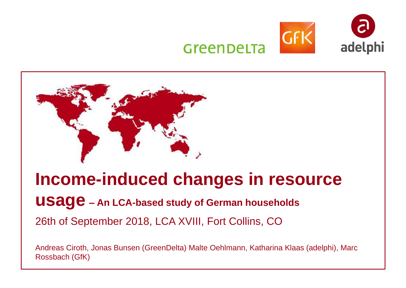



# **Income-induced changes in resource**

**usage – An LCA-based study of German households** 

26th of September 2018, LCA XVIII, Fort Collins, CO

Andreas Ciroth, Jonas Bunsen (GreenDelta) Malte Oehlmann, Katharina Klaas (adelphi), Marc Rossbach (GfK)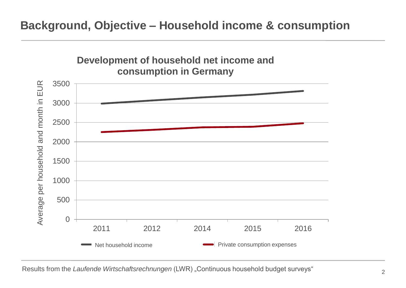## **Background, Objective – Household income & consumption**



Results from the *Laufende Wirtschaftsrechnungen* (LWR) "Continuous household budget surveys"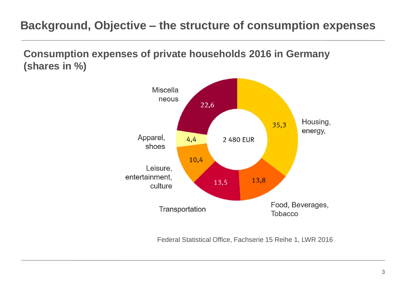## **Background, Objective – the structure of consumption expenses**

**Consumption expenses of private households 2016 in Germany (shares in %)**



Federal Statistical Office, Fachserie 15 Reihe 1, LWR 2016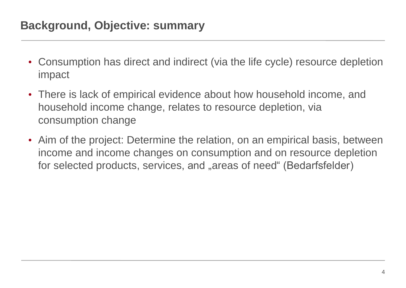- Consumption has direct and indirect (via the life cycle) resource depletion impact
- There is lack of empirical evidence about how household income, and household income change, relates to resource depletion, via consumption change
- Aim of the project: Determine the relation, on an empirical basis, between income and income changes on consumption and on resource depletion for selected products, services, and "areas of need" (Bedarfsfelder)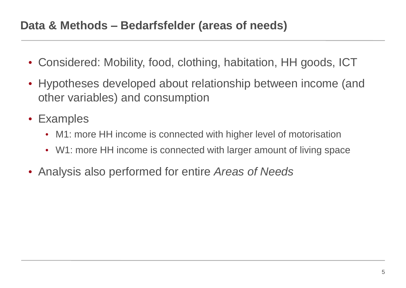- Considered: Mobility, food, clothing, habitation, HH goods, ICT
- Hypotheses developed about relationship between income (and other variables) and consumption
- Examples
	- M1: more HH income is connected with higher level of motorisation
	- W1: more HH income is connected with larger amount of living space
- Analysis also performed for entire *Areas of Needs*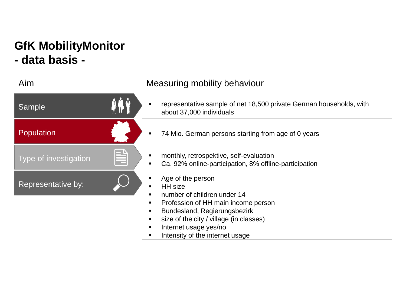# **GfK MobilityMonitor - data basis -**

#### Aim Measuring mobility behaviour

| Sample                |          | representative sample of net 18,500 private German households, with<br>about 37,000 individuals                                                                                                                                                            |
|-----------------------|----------|------------------------------------------------------------------------------------------------------------------------------------------------------------------------------------------------------------------------------------------------------------|
| <b>Population</b>     |          | 74 Mio. German persons starting from age of 0 years                                                                                                                                                                                                        |
| Type of investigation | $\equiv$ | monthly, retrospektive, self-evaluation<br>Ca. 92% online-participation, 8% offline-participation                                                                                                                                                          |
| Representative by:    |          | Age of the person<br><b>HH</b> size<br>п<br>number of children under 14<br>п<br>Profession of HH main income person<br>Bundesland, Regierungsbezirk<br>size of the city / village (in classes)<br>Internet usage yes/no<br>Intensity of the internet usage |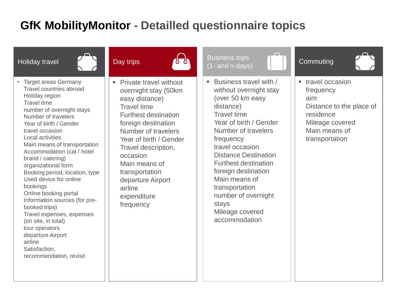## **GfK MobilityMonitor - Detailled questionnaire topics**

| <b>Holiday travel</b>                                                                                                                                                                                                                                                                                                                                                                                                                                                                                                                                                                                                                     | Day trips                                                                                                                                                                                                                                                                                                                                                | <b>Business trips</b><br>$(1 - \text{and } \overline{n} - \text{days})$                                                                                                                                                                                                                                                                                                                   | Commuting                                                                                                                            |
|-------------------------------------------------------------------------------------------------------------------------------------------------------------------------------------------------------------------------------------------------------------------------------------------------------------------------------------------------------------------------------------------------------------------------------------------------------------------------------------------------------------------------------------------------------------------------------------------------------------------------------------------|----------------------------------------------------------------------------------------------------------------------------------------------------------------------------------------------------------------------------------------------------------------------------------------------------------------------------------------------------------|-------------------------------------------------------------------------------------------------------------------------------------------------------------------------------------------------------------------------------------------------------------------------------------------------------------------------------------------------------------------------------------------|--------------------------------------------------------------------------------------------------------------------------------------|
| <b>Target areas Germany</b><br><b>Travel countries abroad</b><br>Holiday region<br><b>Travel time</b><br>number of overnight stays<br>Number of travelers<br>Year of birth / Gender<br>travel occasion<br>Local activities<br>Main means of transportation<br>Accommodation (cat / hotel<br>brand / catering)<br>organizational form<br>Booking period, location, type<br>Used device for online<br>bookings<br>Online booking portal<br>Information sources (for pre-<br>booked trips)<br>Travel expenses, expenses<br>(on site, in total)<br>tour operators<br>departure Airport<br>airline<br>Satisfaction,<br>recommendation, revisit | <b>Private travel without</b><br>$\blacksquare$<br>overnight stay (50km<br>easy distance)<br><b>Travel time</b><br><b>Furthest destination</b><br>foreign destination<br>Number of travelers<br>Year of birth / Gender<br>Travel description,<br>occasion<br>Main means of<br>transportation<br>departure Airport<br>airline<br>expenditure<br>frequency | Business travel with /<br>٠<br>without overnight stay<br>(over 50 km easy<br>distance)<br><b>Travel time</b><br>Year of birth / Gender<br>Number of travelers<br>frequency<br>travel occasion<br><b>Distance Destination</b><br><b>Furthest destination</b><br>foreign destination<br>Main means of<br>transportation<br>number of overnight<br>stays<br>Mileage covered<br>accommodation | ■ travel occasion<br>frequency<br>aim<br>Distance to the place of<br>residence<br>Mileage covered<br>Main means of<br>transportation |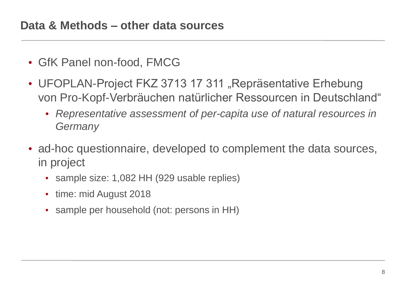- GfK Panel non-food, FMCG
- UFOPLAN-Project FKZ 3713 17 311 "Repräsentative Erhebung von Pro-Kopf-Verbräuchen natürlicher Ressourcen in Deutschland"
	- *Representative assessment of per-capita use of natural resources in Germany*
- ad-hoc questionnaire, developed to complement the data sources, in project
	- sample size: 1,082 HH (929 usable replies)
	- time: mid August 2018
	- sample per household (not: persons in HH)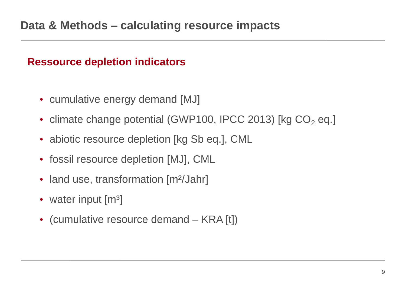### **Ressource depletion indicators**

- cumulative energy demand [MJ]
- climate change potential (GWP100, IPCC 2013) [kg  $CO<sub>2</sub>$  eq.]
- abiotic resource depletion [kg Sb eq.], CML
- fossil resource depletion [MJ], CML
- land use, transformation [m<sup>2</sup>/Jahr]
- water input  $\lceil m^3 \rceil$
- (cumulative resource demand KRA [t])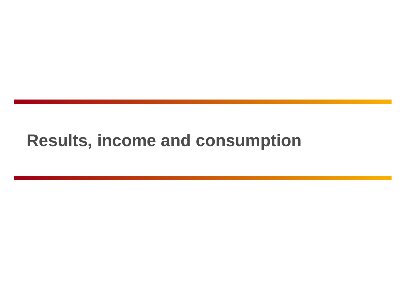# **Results, income and consumption**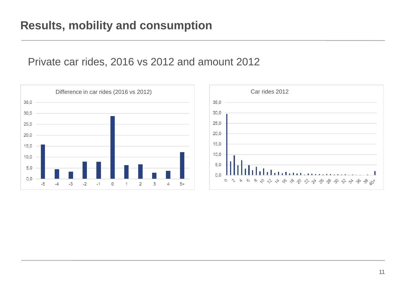#### Private car rides, 2016 vs 2012 and amount 2012

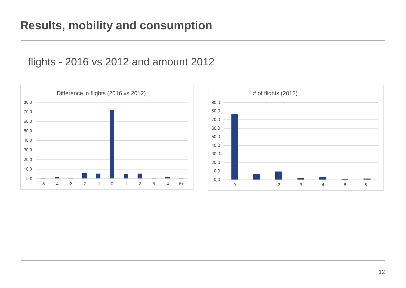#### flights - 2016 vs 2012 and amount 2012



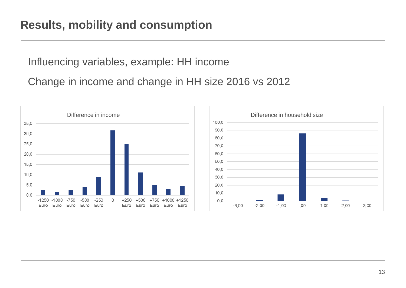## **Results, mobility and consumption**

Influencing variables, example: HH income

Change in income and change in HH size 2016 vs 2012

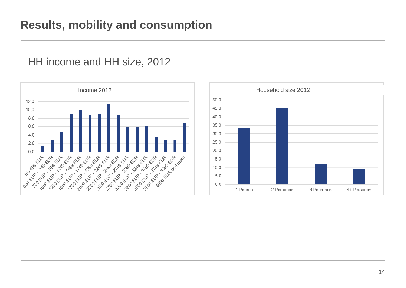



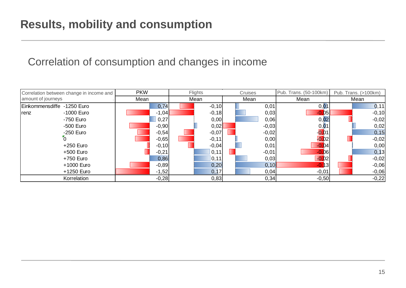## Correlation of consumption and changes in income

| Correlation between change in income and | <b>PKW</b> | Flights | Cruises | Pub. Trans. (50-100km) | Pub. Trans. (>100km) |  |
|------------------------------------------|------------|---------|---------|------------------------|----------------------|--|
| amount of journeys                       | Mean       | Mean    | Mean    | Mean                   | Mean                 |  |
| Einkommensdiffe -1250 Euro               | 0,74       | $-0,10$ | 0,01    | 0,01                   | 0,11                 |  |
| -1000 Euro<br>renz                       | $-1,04$    | $-0,18$ | 0,03    | D5                     | $-0,10$              |  |
| -750 Euro                                | 0,27       | 0,00    | 0,06    | 0,02                   | $-0,02$              |  |
| -500 Euro                                | $-0,90$    | 0,02    | $-0,03$ | 0,01                   | 0,02                 |  |
| -250 Euro                                | $-0,54$    | $-0,07$ | $-0,02$ | $-0.01$                | 0, 15                |  |
|                                          | $-0,65$    | $-0,11$ | 0,00    | $\overline{0.02}$      | $-0,02$              |  |
| +250 Euro                                | $-0,10$    | $-0,04$ | 0,01    | $-0.04$                | 0,00                 |  |
| +500 Euro                                | $-0,21$    | 0,11    | $-0,01$ | 06                     | 0,13                 |  |
| +750 Euro                                | 0,86       | 0, 11   | 0,03    | $-0.02$                | $-0,02$              |  |
| +1000 Euro                               | $-0,89$    | 0,20    | 0,10    | $-0.13$                | $-0,06$              |  |
| +1250 Euro                               | $-1,52$    | 0,17    | 0,04    | $-0,01$                | $-0,06$              |  |
| Korrelation                              | $-0,28$    | 0,83    | 0,34    | $-0,50$                | $-0,22$              |  |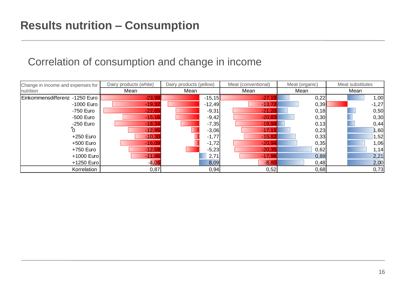#### Correlation of consumption and change in income

| Dairy products (white)<br>Change in income and expenses for |          | Dairy products (yellow) | Meat (conventional) | Meat (organic) | Meat substitutes |  |
|-------------------------------------------------------------|----------|-------------------------|---------------------|----------------|------------------|--|
| nutrition                                                   | Mean     | Mean                    | Mean                | Mean           | Mean             |  |
| Einkommensdifferenz -1250 Euro                              | $-23,98$ | $-15,15$                | $-27,19$            | 0,22           | 1,00             |  |
| -1000 Euro                                                  | $-19,32$ | $-12,49$                | $-13,72$            | 0,39           | $-1,27$          |  |
| -750 Euro                                                   | $-22,85$ | $-9,31$                 | $-21,20$            | 0,18           | 0,50             |  |
| -500 Euro                                                   | $-15,16$ | $-9,42$                 | $-20,83$            | 0,30           | 0,30             |  |
| $-250$ Euro                                                 | $-18,34$ | $-7,35$                 | $-19,94$            | 0,13           | 0,44             |  |
|                                                             | $-12,95$ | $-3,06$                 | $-17,1$             | 0,23           | ,60              |  |
| +250 Euro                                                   | $-10,30$ | $-1,77$                 | $-15,82$            | 0,33           | 1,52             |  |
| +500 Euro                                                   | $-16,09$ | $-1,72$                 | $-20,94$            | 0,35           | 1,06             |  |
| +750 Euro                                                   | $-12,68$ | $-5,23$                 | $-20,35$            | 0,62           | 1,14             |  |
| +1000 Euro                                                  | $-11,86$ | 2,71                    | $-17,96$            | 0,88           | 2,21             |  |
| +1250 Euro                                                  | $-4,06$  | 8,09                    | $-8,80$             | 0,48           | 2,00             |  |
| Korrelation                                                 | 0,87     | 0,94                    | 0,52                | 0,68           | 0,73             |  |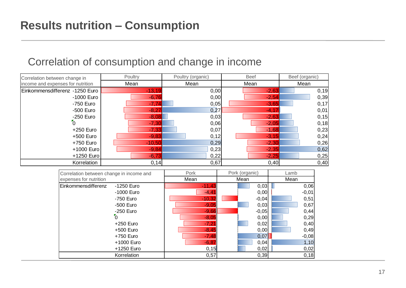| Correlation between change in     | Poultry  | Poultry (organic) | <b>Beef</b> | Beef (organic) |
|-----------------------------------|----------|-------------------|-------------|----------------|
| income and expenses for nutrition | Mean     | Mean              | Mean        | Mean           |
| Einkommensdifferenz -1250 Euro    | $-13,19$ | 0,00              | $-2,63$     | 0, 19          |
| -1000 Euro                        | $-6,76$  | 0,00              | $-2,54$     | 0,39           |
| -750 Euro                         | $-7,74$  | 0,05              | $-3,65$     | 0,17           |
| -500 Euro                         | $-8,27$  | 0,27              | $-4,17$     | 0,01           |
| $-250$ Euro                       | $-8,08$  | 0,03              | $-2,63$     | 0, 15          |
| $\overline{0}$                    | $-7,30$  | 0,06              | $-2,05$     | 0,18           |
| +250 Euro                         | $-7,33$  | 0,07              | $-1,68$     | 0,23           |
| +500 Euro                         | $-9,83$  | 0,12              | $-3,15$     | 0,24           |
| +750 Euro                         | $-10,50$ | 0,29              | $-2,30$     | 0,26           |
| +1000 Euro                        | $-9,84$  | 0,23              | $-2,35$     | 0,62           |
| +1250 Euro                        | $-6,73$  | 0,22              | $-2,25$     | 0,25           |
| Korrelation                       | 0,14     | 0,67              | 0,40        | 0,40           |

## Correlation of consumption and change in income

| Correlation between change in income and | Pork     | Pork (organic) | Lamb    |  |
|------------------------------------------|----------|----------------|---------|--|
| expenses for nutrition                   | Mean     | Mean           | Mean    |  |
| Einkommensdifferenz<br>-1250 Euro        | $-11,43$ | 0,03           | 0,06    |  |
| -1000 Euro                               | $-4,4$   | 0,00           | $-0,01$ |  |
| -750 Euro                                | $-10,32$ | $-0,04$        | 0,51    |  |
| -500 Euro                                | $-9,05$  | 0,03           | 0,67    |  |
| -250 Euro                                | $-9,66$  | $-0,05$        | 0,44    |  |
|                                          | $-8,05$  | 0,00           | 0,29    |  |
| $+250$ Euro                              | $-7,2'$  | 0,02           | 0,40    |  |
| +500 Euro                                | $-8,45$  | 0,00           | 0,49    |  |
| +750 Euro                                | $-7,48$  | 0,07           | $-0,08$ |  |
| +1000 Euro                               | $-6,87$  | 0,04           | 1,10    |  |
| +1250 Euro                               | 0,15     | 0,02           | 0,02    |  |
| Korrelation                              | 0,57     | 0,39           | 0,18    |  |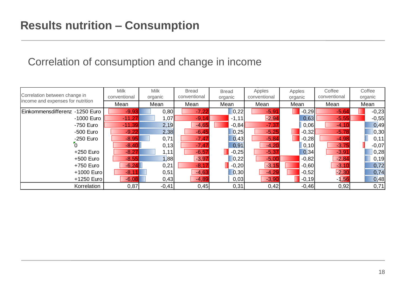## Correlation of consumption and change in income

| Correlation between change in     | <b>Milk</b><br>conventional | <b>Milk</b><br>organic | <b>Bread</b><br>conventional | <b>Bread</b><br>organic | Apples<br>conventional | Apples<br>organic | Coffee<br>conventional | Coffee<br>organic |  |
|-----------------------------------|-----------------------------|------------------------|------------------------------|-------------------------|------------------------|-------------------|------------------------|-------------------|--|
| income and expenses for nutrition | Mean                        | Mean                   | Mean                         | Mean                    | Mean                   | Mean              | Mean                   | Mean              |  |
| Einkommensdifferenz -1250 Euro    | $-9,93$                     | 0,80                   | $-7,22$                      | 0,22                    | $-5,91$                | $-0,29$           | $-5,64$                | $-0,23$           |  |
| -1000 Euro                        | $-11,27$                    | 1,07                   | $-9,14$                      | $-1,11$                 | $-2,94$                | 0,63              | $-5,55$                | $-0,55$           |  |
| -750 Euro                         | $-11,39$                    | 2,19                   | $-4,65$                      | $-0.84$                 | $-7,37$                | 0,06              | $-4,10$                | 0,49              |  |
| -500 Euro                         | $-9,22$                     | 2,38                   | $-6,45$                      | 0,25                    | $-5,25$                | $-0,32$           | $-5,78$                | 0,30              |  |
| $-250$ Euro                       | $-8,95$                     | 0,71                   | $-7,47$                      | 0,43                    | $-5,84$                | $-0,28$           | $-4,98$                | 0,11              |  |
|                                   | $-8,40$                     | 0, 13                  | $-7,47$                      | 0,91                    | $-4,20$                | 0, 10             | $-3,75$                | $-0,07$           |  |
| $+250$ Euro                       | $-8,27$                     | 1,11                   | $-6,57$                      | $-0,25$                 | $-5,37$                | 0,34              | $-3,91$                | 0,28              |  |
| +500 Euro                         | $-8,55$                     | 1,88                   | $-3,97$                      | 0,22                    | $-5,00$                | $-0,82$           | $-2,84$                | 0,19              |  |
| +750 Euro                         | $-6,24$                     | 0,21                   | $-8.17$                      | $-0,20$                 | $-3,15$                | $-0,60$           | $-3,10$                | 0,72              |  |
| +1000 Euro                        | $-8,1$                      | 0,51                   | $-4,63$                      | 0,30                    | $-4,29$                | $-0,52$           | $-2,30$                | 0,74              |  |
| +1250 Euro                        | $-6,08$                     | 0,43                   | $-4,89$                      | 0,03                    | $-3,90$                | $-0,19$           | $-1,56$                | 0,48              |  |
| Korrelation                       | 0,87                        | $-0,41$                | 0,45                         | 0,31                    | 0,42                   | $-0,46$           | 0,92                   | 0,71              |  |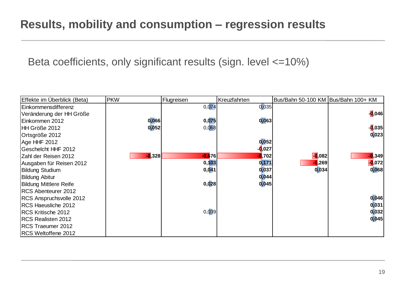Beta coefficients, only significant results (sign. level <=10%)

| Effekte im Überblick (Beta)   | <b>PKW</b> | Flugreisen | Kreuzfahrten          | Bus/Bahn 50-100 KM Bus/Bahn 100+ KM |          |
|-------------------------------|------------|------------|-----------------------|-------------------------------------|----------|
| Einkommensdifferenz           |            | 0,074      | 0,035                 |                                     |          |
| Veränderung der HH Größe      |            |            |                       |                                     | $-0.046$ |
| Einkommen 2012                | 0,066      | 0,075      | 0,063                 |                                     |          |
| HH Größe 2012                 | 0,052      | 0,068      |                       |                                     | $-0.035$ |
| Ortsgröße 2012                |            |            |                       |                                     | 0,023    |
| Age HHF 2012                  |            |            | 0,052                 |                                     |          |
| <b>Geschelcht HHF 2012</b>    |            |            | - <mark>0</mark> ,027 |                                     |          |
| Zahl der Reisen 2012          | $-0,328$   | $-0.676$   | <b>1</b> ,702         | $\overline{\phantom{a}}$ .082       | $-0,349$ |
| Ausgaben für Reisen 2012      |            | 0,103      | 0,171                 | <b>0,269</b>                        | $-0,072$ |
| <b>Bildung Studium</b>        |            | 0,041      | 0,037                 | 0,034                               | 0,068    |
| <b>Bildung Abitur</b>         |            |            | 0,044                 |                                     |          |
| <b>Bildung Mittlere Reife</b> |            | 0,028      | 0,045                 |                                     |          |
| RCS Abenteurer 2012           |            |            |                       |                                     |          |
| RCS Anspruchsvolle 2012       |            |            |                       |                                     | 0,046    |
| RCS Haeusliche 2012           |            |            |                       |                                     | 0,031    |
| RCS Kritische 2012            |            | 0,039      |                       |                                     | 0,032    |
| RCS Realisten 2012            |            |            |                       |                                     | 0,045    |
| RCS Traeumer 2012             |            |            |                       |                                     |          |
| RCS Weltoffene 2012           |            |            |                       |                                     |          |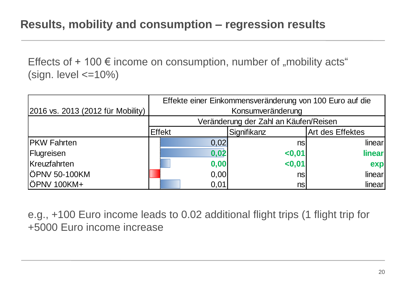Effects of  $+100 \notin \text{income}$  on consumption, number of "mobility acts" (sign. level  $\leq$ =10%)

|                                   | Effekte einer Einkommensveränderung von 100 Euro auf die |                        |                         |  |  |  |
|-----------------------------------|----------------------------------------------------------|------------------------|-------------------------|--|--|--|
| 2016 vs. 2013 (2012 für Mobility) | Konsumveränderung                                        |                        |                         |  |  |  |
|                                   | Veränderung der Zahl an Käufen/Reisen                    |                        |                         |  |  |  |
|                                   | <b>Effekt</b>                                            | Signifikanz            | <b>Art des Effektes</b> |  |  |  |
| <b>PKW Fahrten</b>                | 0,02                                                     | nsl                    | linear                  |  |  |  |
| Flugreisen                        | 0,02                                                     | 0.01                   | linear                  |  |  |  |
| Kreuzfahrten                      | 0,00                                                     | < 0,01                 | exp                     |  |  |  |
| ÖPNV 50-100KM                     | 0,00                                                     | $\overline{\text{ns}}$ | linear                  |  |  |  |
| ÖPNV 100KM+                       | 0,01                                                     | nsl                    | linear                  |  |  |  |

e.g., +100 Euro income leads to 0.02 additional flight trips (1 flight trip for +5000 Euro income increase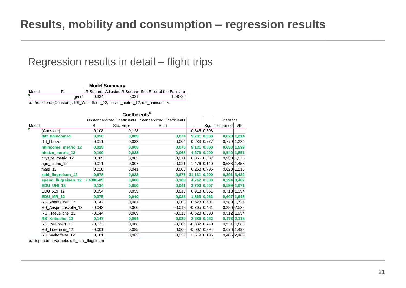#### Regression results in detail – flight trips

| <b>Model Summary</b>                                                                                      |  |                   |       |       |         |  |  |
|-----------------------------------------------------------------------------------------------------------|--|-------------------|-------|-------|---------|--|--|
| R Square Adjusted R Square Std. Error of the Estimate<br>Model                                            |  |                   |       |       |         |  |  |
|                                                                                                           |  | .578 <sup>a</sup> | 0.334 | 0.331 | 1.08722 |  |  |
| $\sim$ Decalled and $\sim$ (Opposition). DO Michaelist and the later product of $\sim$ 1944, but a constr |  |                   |       |       |         |  |  |

a. Predictors: (Constant), RS\_Weltoffene\_12, hhsize\_metric\_12, diff\_hhincome5,

|                           | Coefficients <sup>a</sup>     |          |                                    |                                  |                 |               |                   |                 |  |  |
|---------------------------|-------------------------------|----------|------------------------------------|----------------------------------|-----------------|---------------|-------------------|-----------------|--|--|
|                           |                               |          | <b>Unstandardized Coefficients</b> | <b>Standardized Coefficients</b> |                 |               | <b>Statistics</b> |                 |  |  |
| Model                     |                               | B        | Std. Error                         | Beta                             |                 | Sig.          | Tolerance         | VIF             |  |  |
| $\overline{\mathbf{Y}}_1$ | (Constant)                    | $-0,108$ | 0,128                              |                                  | $-0,845$ 0,398  |               |                   |                 |  |  |
|                           | diff hhincome5                | 0,050    | 0,009                              | 0,074                            |                 | 5,731 0,000   |                   | $0,823$ 1,214   |  |  |
|                           | diff hhsize                   | $-0,011$ | 0,038                              | $-0,004$                         | $-0,283$ 0,777  |               |                   | 0,779 1,284     |  |  |
|                           | hhincome_metric_12            | 0,025    | 0,005                              | 0,075                            |                 | 5,131 0,000   |                   | $0,650$ 1,539   |  |  |
|                           | hhsize_metric_12              | 0,100    | 0,023                              | 0,068                            |                 | 4,279 0,000   | 0,540 1,851       |                 |  |  |
|                           | citysize_metric_12            | 0,005    | 0,005                              | 0,011                            | $0,866$ 0,387   |               |                   | 0,930 1,076     |  |  |
|                           | age_metric_12                 | $-0,011$ | 0,007                              | $-0,021$                         | $-1,476$ 0,140  |               |                   | 0,688 1,453     |  |  |
|                           | male_12                       | 0,010    | 0,041                              | 0,003                            |                 | $0,258$ 0,796 |                   | $0,823$ 1,215   |  |  |
|                           | zahl_flugreisen_12            | $-0,678$ | 0,022                              | $-0,676$                         | $-31,131 0,000$ |               |                   | $0,291$ 3,432   |  |  |
|                           | spend_flugreisen_12 7,438E-05 |          | 0,000                              | 0,103                            |                 | 4,742 0,000   |                   | $0,294$ 3,407   |  |  |
|                           | <b>EDU_UNI_12</b>             | 0,134    | 0,050                              | 0,041                            |                 | 2,700 0,007   |                   | 0,599 1,671     |  |  |
|                           | EDU_ABI_12                    | 0,054    | 0,059                              | 0,013                            | $0,913$ 0,361   |               |                   | $0,718$ 1,394   |  |  |
|                           | <b>EDU MR 12</b>              | 0,075    | 0,040                              | 0,028                            |                 | 1,863 0,063   |                   | $0,607$ 1,648   |  |  |
|                           | RS Abenteurer 12              | 0,042    | 0,081                              | 0,008                            | $0,523$ 0,601   |               |                   | 0,580 1,724     |  |  |
|                           | RS_Anspruchsvolle_12          | $-0,042$ | 0,060                              | $-0,013$                         | $-0,705$ 0.481  |               |                   | $0,396$ 2,523   |  |  |
|                           | RS_Haeusliche_12              | $-0,044$ | 0,069                              | $-0,010$                         | $-0,628$ 0,530  |               |                   | $0,512$ 1,954   |  |  |
|                           | <b>RS Kritische 12</b>        | 0,147    | 0,064                              | 0,039                            |                 | 2,289 0,022   |                   | $0,473$ 2,115   |  |  |
|                           | RS_Realisten_12               | $-0,023$ | 0,068                              | $-0,005$                         | $-0,332$ 0,740  |               |                   | $0,531$   1,883 |  |  |
|                           | RS_Traeumer_12                | $-0,001$ | 0,085                              | 0,000                            | $-0,007$ 0,994  |               |                   | $0,670$   1,493 |  |  |
|                           | RS Weltoffene 12              | 0,101    | 0,063                              | 0,030                            |                 | 1,619 0,106   |                   | $0,406$ 2,465   |  |  |

a. Dependent Variable: diff\_zahl\_flugreisen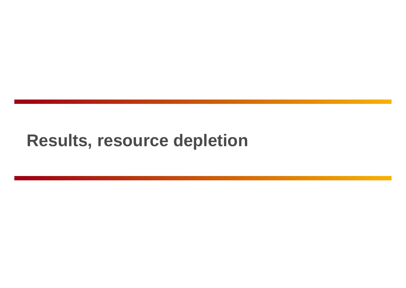# **Results, resource depletion**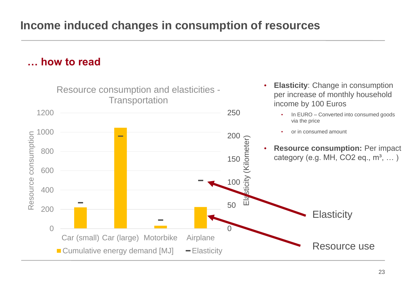**… how to read**

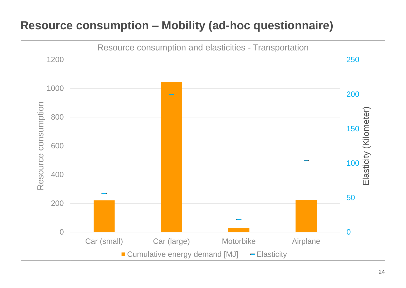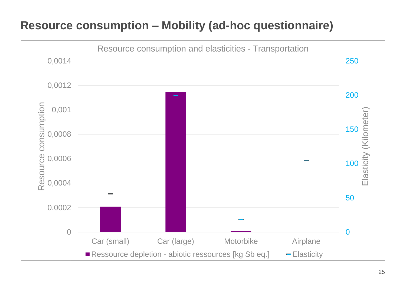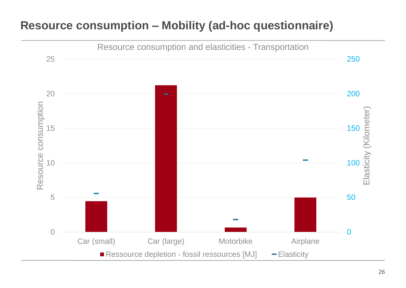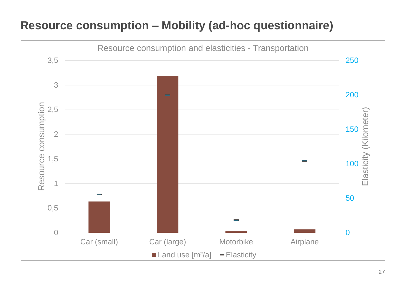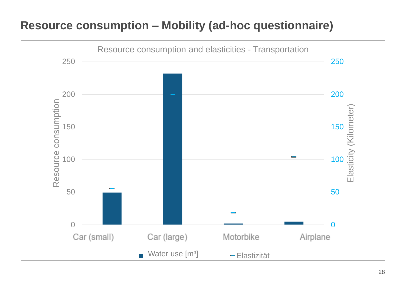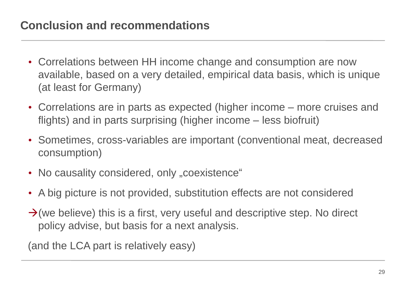- Correlations between HH income change and consumption are now available, based on a very detailed, empirical data basis, which is unique (at least for Germany)
- Correlations are in parts as expected (higher income more cruises and flights) and in parts surprising (higher income – less biofruit)
- Sometimes, cross-variables are important (conventional meat, decreased consumption)
- No causality considered, only "coexistence"
- A big picture is not provided, substitution effects are not considered
- $\rightarrow$  (we believe) this is a first, very useful and descriptive step. No direct policy advise, but basis for a next analysis.

(and the LCA part is relatively easy)